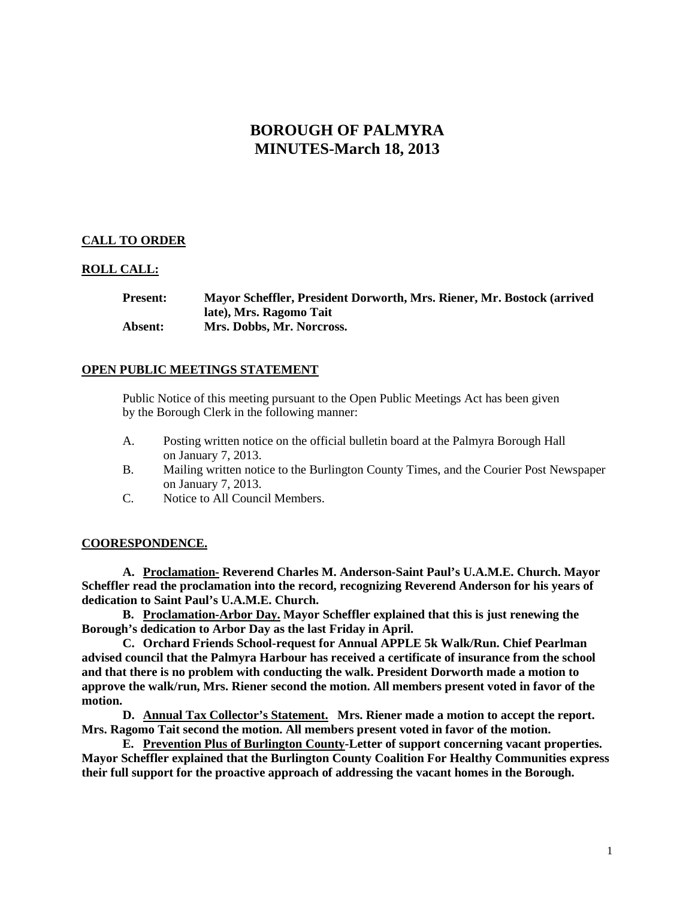# **BOROUGH OF PALMYRA MINUTES-March 18, 2013**

## **CALL TO ORDER**

## **ROLL CALL:**

**Present: Mayor Scheffler, President Dorworth, Mrs. Riener, Mr. Bostock (arrived late), Mrs. Ragomo Tait Absent: Mrs. Dobbs, Mr. Norcross.**

## **OPEN PUBLIC MEETINGS STATEMENT**

Public Notice of this meeting pursuant to the Open Public Meetings Act has been given by the Borough Clerk in the following manner:

- A. Posting written notice on the official bulletin board at the Palmyra Borough Hall on January 7, 2013.
- B. Mailing written notice to the Burlington County Times, and the Courier Post Newspaper on January 7, 2013.
- C. Notice to All Council Members.

## **COORESPONDENCE.**

**A. Proclamation- Reverend Charles M. Anderson-Saint Paul's U.A.M.E. Church. Mayor Scheffler read the proclamation into the record, recognizing Reverend Anderson for his years of dedication to Saint Paul's U.A.M.E. Church.** 

**B. Proclamation-Arbor Day. Mayor Scheffler explained that this is just renewing the Borough's dedication to Arbor Day as the last Friday in April.**

**C. Orchard Friends School-request for Annual APPLE 5k Walk/Run. Chief Pearlman advised council that the Palmyra Harbour has received a certificate of insurance from the school and that there is no problem with conducting the walk. President Dorworth made a motion to approve the walk/run, Mrs. Riener second the motion. All members present voted in favor of the motion.** 

**D. Annual Tax Collector's Statement. Mrs. Riener made a motion to accept the report. Mrs. Ragomo Tait second the motion. All members present voted in favor of the motion.** 

**E. Prevention Plus of Burlington County-Letter of support concerning vacant properties. Mayor Scheffler explained that the Burlington County Coalition For Healthy Communities express their full support for the proactive approach of addressing the vacant homes in the Borough.**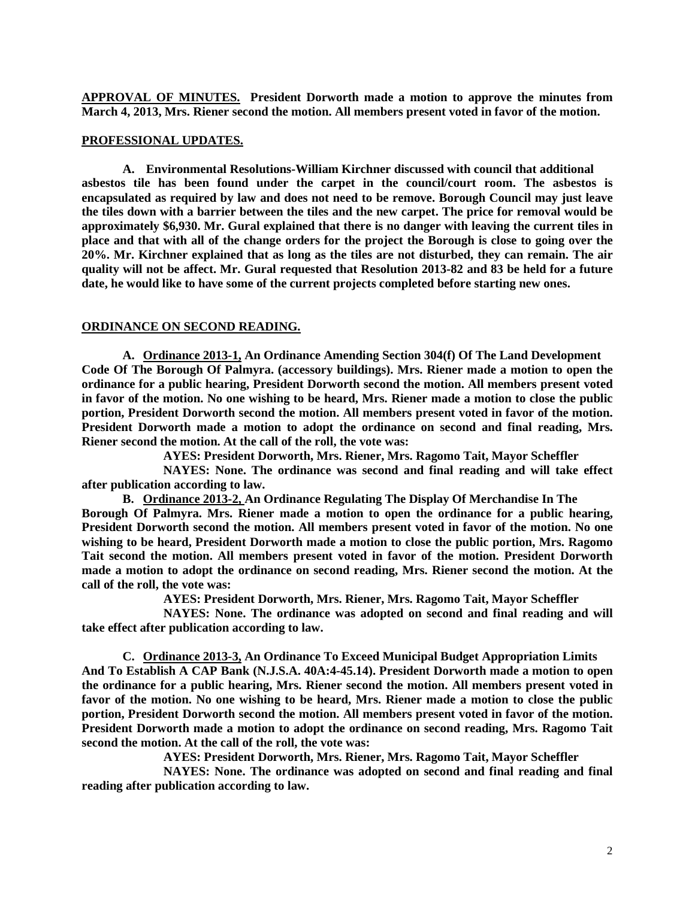**APPROVAL OF MINUTES. President Dorworth made a motion to approve the minutes from March 4, 2013, Mrs. Riener second the motion. All members present voted in favor of the motion.** 

#### **PROFESSIONAL UPDATES.**

**A. Environmental Resolutions-William Kirchner discussed with council that additional asbestos tile has been found under the carpet in the council/court room. The asbestos is encapsulated as required by law and does not need to be remove. Borough Council may just leave the tiles down with a barrier between the tiles and the new carpet. The price for removal would be approximately \$6,930. Mr. Gural explained that there is no danger with leaving the current tiles in place and that with all of the change orders for the project the Borough is close to going over the 20%. Mr. Kirchner explained that as long as the tiles are not disturbed, they can remain. The air quality will not be affect. Mr. Gural requested that Resolution 2013-82 and 83 be held for a future date, he would like to have some of the current projects completed before starting new ones.** 

#### **ORDINANCE ON SECOND READING.**

**A. Ordinance 2013-1, An Ordinance Amending Section 304(f) Of The Land Development Code Of The Borough Of Palmyra. (accessory buildings). Mrs. Riener made a motion to open the ordinance for a public hearing, President Dorworth second the motion. All members present voted in favor of the motion. No one wishing to be heard, Mrs. Riener made a motion to close the public portion, President Dorworth second the motion. All members present voted in favor of the motion. President Dorworth made a motion to adopt the ordinance on second and final reading, Mrs. Riener second the motion. At the call of the roll, the vote was:**

**AYES: President Dorworth, Mrs. Riener, Mrs. Ragomo Tait, Mayor Scheffler**

**NAYES: None. The ordinance was second and final reading and will take effect after publication according to law.** 

**B. Ordinance 2013-2, An Ordinance Regulating The Display Of Merchandise In The Borough Of Palmyra. Mrs. Riener made a motion to open the ordinance for a public hearing, President Dorworth second the motion. All members present voted in favor of the motion. No one wishing to be heard, President Dorworth made a motion to close the public portion, Mrs. Ragomo Tait second the motion. All members present voted in favor of the motion. President Dorworth made a motion to adopt the ordinance on second reading, Mrs. Riener second the motion. At the call of the roll, the vote was:**

**AYES: President Dorworth, Mrs. Riener, Mrs. Ragomo Tait, Mayor Scheffler**

**NAYES: None. The ordinance was adopted on second and final reading and will take effect after publication according to law.**

**C. Ordinance 2013-3, An Ordinance To Exceed Municipal Budget Appropriation Limits And To Establish A CAP Bank (N.J.S.A. 40A:4-45.14). President Dorworth made a motion to open the ordinance for a public hearing, Mrs. Riener second the motion. All members present voted in favor of the motion. No one wishing to be heard, Mrs. Riener made a motion to close the public portion, President Dorworth second the motion. All members present voted in favor of the motion. President Dorworth made a motion to adopt the ordinance on second reading, Mrs. Ragomo Tait second the motion. At the call of the roll, the vote was:**

**AYES: President Dorworth, Mrs. Riener, Mrs. Ragomo Tait, Mayor Scheffler**

**NAYES: None. The ordinance was adopted on second and final reading and final reading after publication according to law.**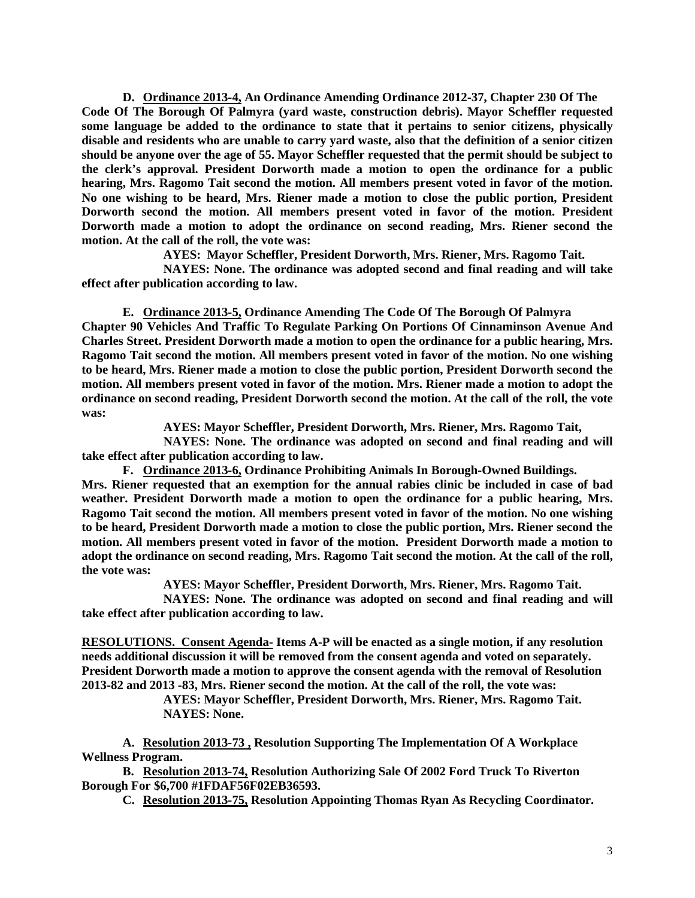**D. Ordinance 2013-4, An Ordinance Amending Ordinance 2012-37, Chapter 230 Of The Code Of The Borough Of Palmyra (yard waste, construction debris). Mayor Scheffler requested some language be added to the ordinance to state that it pertains to senior citizens, physically disable and residents who are unable to carry yard waste, also that the definition of a senior citizen should be anyone over the age of 55. Mayor Scheffler requested that the permit should be subject to the clerk's approval. President Dorworth made a motion to open the ordinance for a public hearing, Mrs. Ragomo Tait second the motion. All members present voted in favor of the motion. No one wishing to be heard, Mrs. Riener made a motion to close the public portion, President Dorworth second the motion. All members present voted in favor of the motion. President Dorworth made a motion to adopt the ordinance on second reading, Mrs. Riener second the motion. At the call of the roll, the vote was:**

**AYES: Mayor Scheffler, President Dorworth, Mrs. Riener, Mrs. Ragomo Tait.**

**NAYES: None. The ordinance was adopted second and final reading and will take effect after publication according to law.**

**E. Ordinance 2013-5, Ordinance Amending The Code Of The Borough Of Palmyra Chapter 90 Vehicles And Traffic To Regulate Parking On Portions Of Cinnaminson Avenue And Charles Street. President Dorworth made a motion to open the ordinance for a public hearing, Mrs. Ragomo Tait second the motion. All members present voted in favor of the motion. No one wishing to be heard, Mrs. Riener made a motion to close the public portion, President Dorworth second the motion. All members present voted in favor of the motion. Mrs. Riener made a motion to adopt the ordinance on second reading, President Dorworth second the motion. At the call of the roll, the vote was:**

**AYES: Mayor Scheffler, President Dorworth, Mrs. Riener, Mrs. Ragomo Tait,** 

**NAYES: None. The ordinance was adopted on second and final reading and will take effect after publication according to law.**

**F. Ordinance 2013-6, Ordinance Prohibiting Animals In Borough-Owned Buildings. Mrs. Riener requested that an exemption for the annual rabies clinic be included in case of bad weather. President Dorworth made a motion to open the ordinance for a public hearing, Mrs. Ragomo Tait second the motion. All members present voted in favor of the motion. No one wishing to be heard, President Dorworth made a motion to close the public portion, Mrs. Riener second the motion. All members present voted in favor of the motion. President Dorworth made a motion to adopt the ordinance on second reading, Mrs. Ragomo Tait second the motion. At the call of the roll, the vote was:**

**AYES: Mayor Scheffler, President Dorworth, Mrs. Riener, Mrs. Ragomo Tait.**

**NAYES: None. The ordinance was adopted on second and final reading and will take effect after publication according to law.** 

**RESOLUTIONS. Consent Agenda- Items A-P will be enacted as a single motion, if any resolution needs additional discussion it will be removed from the consent agenda and voted on separately. President Dorworth made a motion to approve the consent agenda with the removal of Resolution 2013-82 and 2013 -83, Mrs. Riener second the motion. At the call of the roll, the vote was:**

> **AYES: Mayor Scheffler, President Dorworth, Mrs. Riener, Mrs. Ragomo Tait. NAYES: None.**

**A. Resolution 2013-73 , Resolution Supporting The Implementation Of A Workplace Wellness Program.** 

**B. Resolution 2013-74, Resolution Authorizing Sale Of 2002 Ford Truck To Riverton Borough For \$6,700 #1FDAF56F02EB36593.**

**C. Resolution 2013-75, Resolution Appointing Thomas Ryan As Recycling Coordinator.**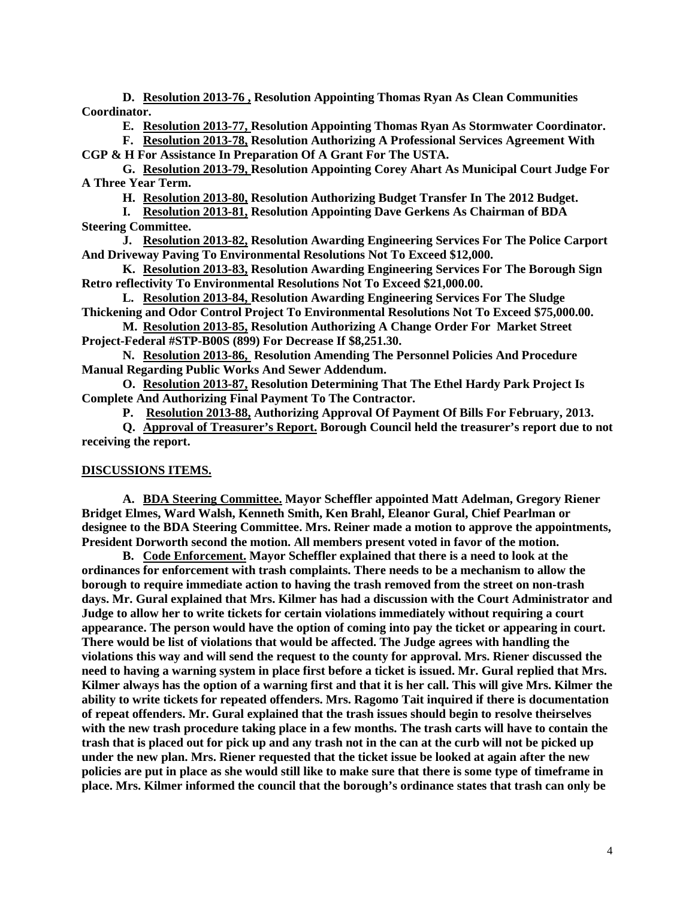**D. Resolution 2013-76 , Resolution Appointing Thomas Ryan As Clean Communities Coordinator.**

**E. Resolution 2013-77, Resolution Appointing Thomas Ryan As Stormwater Coordinator.** 

**F. Resolution 2013-78, Resolution Authorizing A Professional Services Agreement With CGP & H For Assistance In Preparation Of A Grant For The USTA.**

**G. Resolution 2013-79, Resolution Appointing Corey Ahart As Municipal Court Judge For A Three Year Term.** 

**H. Resolution 2013-80, Resolution Authorizing Budget Transfer In The 2012 Budget.**

**I. Resolution 2013-81, Resolution Appointing Dave Gerkens As Chairman of BDA Steering Committee.**

**J. Resolution 2013-82, Resolution Awarding Engineering Services For The Police Carport And Driveway Paving To Environmental Resolutions Not To Exceed \$12,000.**

**K. Resolution 2013-83, Resolution Awarding Engineering Services For The Borough Sign Retro reflectivity To Environmental Resolutions Not To Exceed \$21,000.00.**

**L. Resolution 2013-84, Resolution Awarding Engineering Services For The Sludge Thickening and Odor Control Project To Environmental Resolutions Not To Exceed \$75,000.00.**

**M. Resolution 2013-85, Resolution Authorizing A Change Order For Market Street Project-Federal #STP-B00S (899) For Decrease If \$8,251.30.**

**N. Resolution 2013-86, Resolution Amending The Personnel Policies And Procedure Manual Regarding Public Works And Sewer Addendum.** 

**O. Resolution 2013-87, Resolution Determining That The Ethel Hardy Park Project Is Complete And Authorizing Final Payment To The Contractor.** 

**P. Resolution 2013-88, Authorizing Approval Of Payment Of Bills For February, 2013.** 

**Q. Approval of Treasurer's Report. Borough Council held the treasurer's report due to not receiving the report.**

#### **DISCUSSIONS ITEMS.**

**A. BDA Steering Committee. Mayor Scheffler appointed Matt Adelman, Gregory Riener Bridget Elmes, Ward Walsh, Kenneth Smith, Ken Brahl, Eleanor Gural, Chief Pearlman or designee to the BDA Steering Committee. Mrs. Reiner made a motion to approve the appointments, President Dorworth second the motion. All members present voted in favor of the motion.** 

**B. Code Enforcement. Mayor Scheffler explained that there is a need to look at the ordinances for enforcement with trash complaints. There needs to be a mechanism to allow the borough to require immediate action to having the trash removed from the street on non-trash days. Mr. Gural explained that Mrs. Kilmer has had a discussion with the Court Administrator and Judge to allow her to write tickets for certain violations immediately without requiring a court appearance. The person would have the option of coming into pay the ticket or appearing in court. There would be list of violations that would be affected. The Judge agrees with handling the violations this way and will send the request to the county for approval. Mrs. Riener discussed the need to having a warning system in place first before a ticket is issued. Mr. Gural replied that Mrs. Kilmer always has the option of a warning first and that it is her call. This will give Mrs. Kilmer the ability to write tickets for repeated offenders. Mrs. Ragomo Tait inquired if there is documentation of repeat offenders. Mr. Gural explained that the trash issues should begin to resolve theirselves with the new trash procedure taking place in a few months. The trash carts will have to contain the trash that is placed out for pick up and any trash not in the can at the curb will not be picked up under the new plan. Mrs. Riener requested that the ticket issue be looked at again after the new policies are put in place as she would still like to make sure that there is some type of timeframe in place. Mrs. Kilmer informed the council that the borough's ordinance states that trash can only be**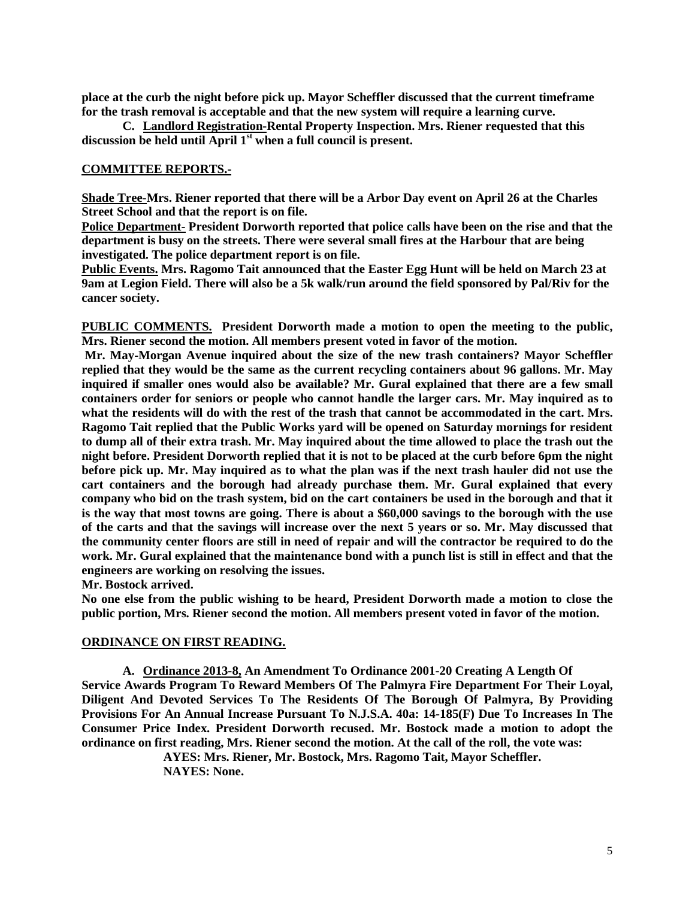**place at the curb the night before pick up. Mayor Scheffler discussed that the current timeframe for the trash removal is acceptable and that the new system will require a learning curve.** 

**C. Landlord Registration-Rental Property Inspection. Mrs. Riener requested that this discussion be held until April 1st when a full council is present.** 

### **COMMITTEE REPORTS.-**

**Shade Tree-Mrs. Riener reported that there will be a Arbor Day event on April 26 at the Charles Street School and that the report is on file.** 

**Police Department- President Dorworth reported that police calls have been on the rise and that the department is busy on the streets. There were several small fires at the Harbour that are being investigated. The police department report is on file.**

**Public Events. Mrs. Ragomo Tait announced that the Easter Egg Hunt will be held on March 23 at 9am at Legion Field. There will also be a 5k walk/run around the field sponsored by Pal/Riv for the cancer society.** 

**PUBLIC COMMENTS. President Dorworth made a motion to open the meeting to the public, Mrs. Riener second the motion. All members present voted in favor of the motion.**

**Mr. May-Morgan Avenue inquired about the size of the new trash containers? Mayor Scheffler replied that they would be the same as the current recycling containers about 96 gallons. Mr. May inquired if smaller ones would also be available? Mr. Gural explained that there are a few small containers order for seniors or people who cannot handle the larger cars. Mr. May inquired as to what the residents will do with the rest of the trash that cannot be accommodated in the cart. Mrs. Ragomo Tait replied that the Public Works yard will be opened on Saturday mornings for resident to dump all of their extra trash. Mr. May inquired about the time allowed to place the trash out the night before. President Dorworth replied that it is not to be placed at the curb before 6pm the night before pick up. Mr. May inquired as to what the plan was if the next trash hauler did not use the cart containers and the borough had already purchase them. Mr. Gural explained that every company who bid on the trash system, bid on the cart containers be used in the borough and that it is the way that most towns are going. There is about a \$60,000 savings to the borough with the use of the carts and that the savings will increase over the next 5 years or so. Mr. May discussed that the community center floors are still in need of repair and will the contractor be required to do the work. Mr. Gural explained that the maintenance bond with a punch list is still in effect and that the engineers are working on resolving the issues.** 

**Mr. Bostock arrived.**

**No one else from the public wishing to be heard, President Dorworth made a motion to close the public portion, Mrs. Riener second the motion. All members present voted in favor of the motion.** 

#### **ORDINANCE ON FIRST READING.**

**A. Ordinance 2013-8, An Amendment To Ordinance 2001-20 Creating A Length Of Service Awards Program To Reward Members Of The Palmyra Fire Department For Their Loyal, Diligent And Devoted Services To The Residents Of The Borough Of Palmyra, By Providing Provisions For An Annual Increase Pursuant To N.J.S.A. 40a: 14-185(F) Due To Increases In The Consumer Price Index. President Dorworth recused. Mr. Bostock made a motion to adopt the ordinance on first reading, Mrs. Riener second the motion. At the call of the roll, the vote was:**

> **AYES: Mrs. Riener, Mr. Bostock, Mrs. Ragomo Tait, Mayor Scheffler. NAYES: None.**